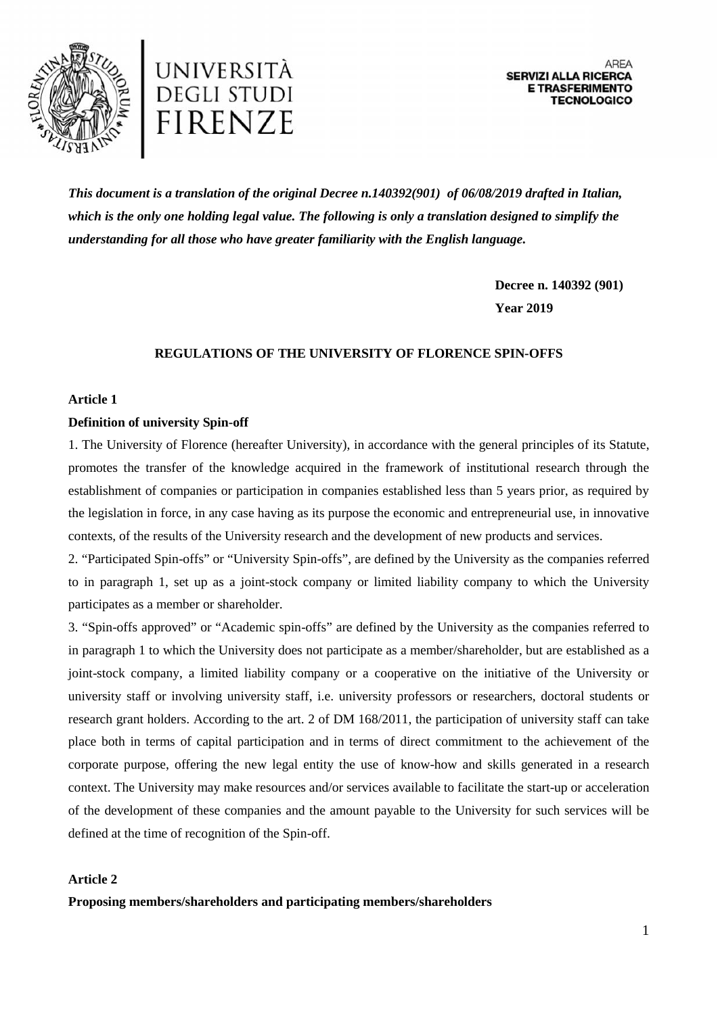



*This document is a translation of the original Decree n.140392(901) of 06/08/2019 drafted in Italian, which is the only one holding legal value. The following is only a translation designed to simplify the understanding for all those who have greater familiarity with the English language.*

> **Decree n. 140392 (901) Year 2019**

## **REGULATIONS OF THE UNIVERSITY OF FLORENCE SPIN-OFFS**

#### **Article 1**

#### **Definition of university Spin-off**

1. The University of Florence (hereafter University), in accordance with the general principles of its Statute, promotes the transfer of the knowledge acquired in the framework of institutional research through the establishment of companies or participation in companies established less than 5 years prior, as required by the legislation in force, in any case having as its purpose the economic and entrepreneurial use, in innovative contexts, of the results of the University research and the development of new products and services.

2. "Participated Spin-offs" or "University Spin-offs", are defined by the University as the companies referred to in paragraph 1, set up as a joint-stock company or limited liability company to which the University participates as a member or shareholder.

3. "Spin-offs approved" or "Academic spin-offs" are defined by the University as the companies referred to in paragraph 1 to which the University does not participate as a member/shareholder, but are established as a joint-stock company, a limited liability company or a cooperative on the initiative of the University or university staff or involving university staff, i.e. university professors or researchers, doctoral students or research grant holders. According to the art. 2 of DM 168/2011, the participation of university staff can take place both in terms of capital participation and in terms of direct commitment to the achievement of the corporate purpose, offering the new legal entity the use of know-how and skills generated in a research context. The University may make resources and/or services available to facilitate the start-up or acceleration of the development of these companies and the amount payable to the University for such services will be defined at the time of recognition of the Spin-off.

## **Article 2**

**Proposing members/shareholders and participating members/shareholders**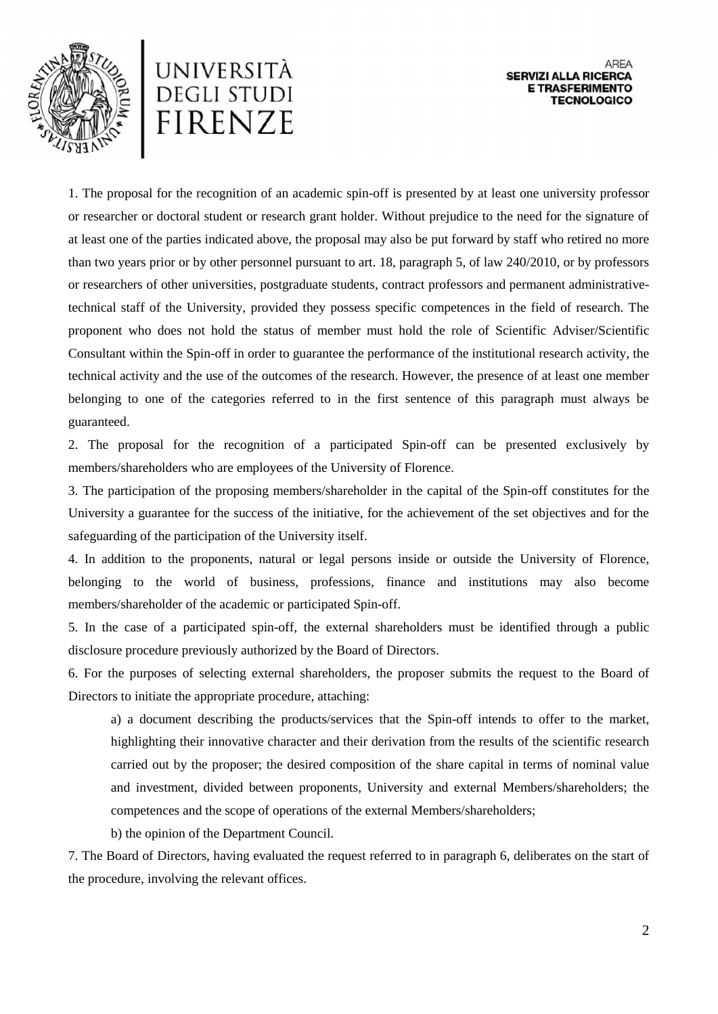



1. The proposal for the recognition of an academic spin-off is presented by at least one university professor or researcher or doctoral student or research grant holder. Without prejudice to the need for the signature of at least one of the parties indicated above, the proposal may also be put forward by staff who retired no more than two years prior or by other personnel pursuant to art. 18, paragraph 5, of law 240/2010, or by professors or researchers of other universities, postgraduate students, contract professors and permanent administrativetechnical staff of the University, provided they possess specific competences in the field of research. The proponent who does not hold the status of member must hold the role of Scientific Adviser/Scientific Consultant within the Spin-off in order to guarantee the performance of the institutional research activity, the technical activity and the use of the outcomes of the research. However, the presence of at least one member belonging to one of the categories referred to in the first sentence of this paragraph must always be guaranteed.

2. The proposal for the recognition of a participated Spin-off can be presented exclusively by members/shareholders who are employees of the University of Florence.

3. The participation of the proposing members/shareholder in the capital of the Spin-off constitutes for the University a guarantee for the success of the initiative, for the achievement of the set objectives and for the safeguarding of the participation of the University itself.

4. In addition to the proponents, natural or legal persons inside or outside the University of Florence, belonging to the world of business, professions, finance and institutions may also become members/shareholder of the academic or participated Spin-off.

5. In the case of a participated spin-off, the external shareholders must be identified through a public disclosure procedure previously authorized by the Board of Directors.

6. For the purposes of selecting external shareholders, the proposer submits the request to the Board of Directors to initiate the appropriate procedure, attaching:

a) a document describing the products/services that the Spin-off intends to offer to the market, highlighting their innovative character and their derivation from the results of the scientific research carried out by the proposer; the desired composition of the share capital in terms of nominal value and investment, divided between proponents, University and external Members/shareholders; the competences and the scope of operations of the external Members/shareholders;

b) the opinion of the Department Council.

7. The Board of Directors, having evaluated the request referred to in paragraph 6, deliberates on the start of the procedure, involving the relevant offices.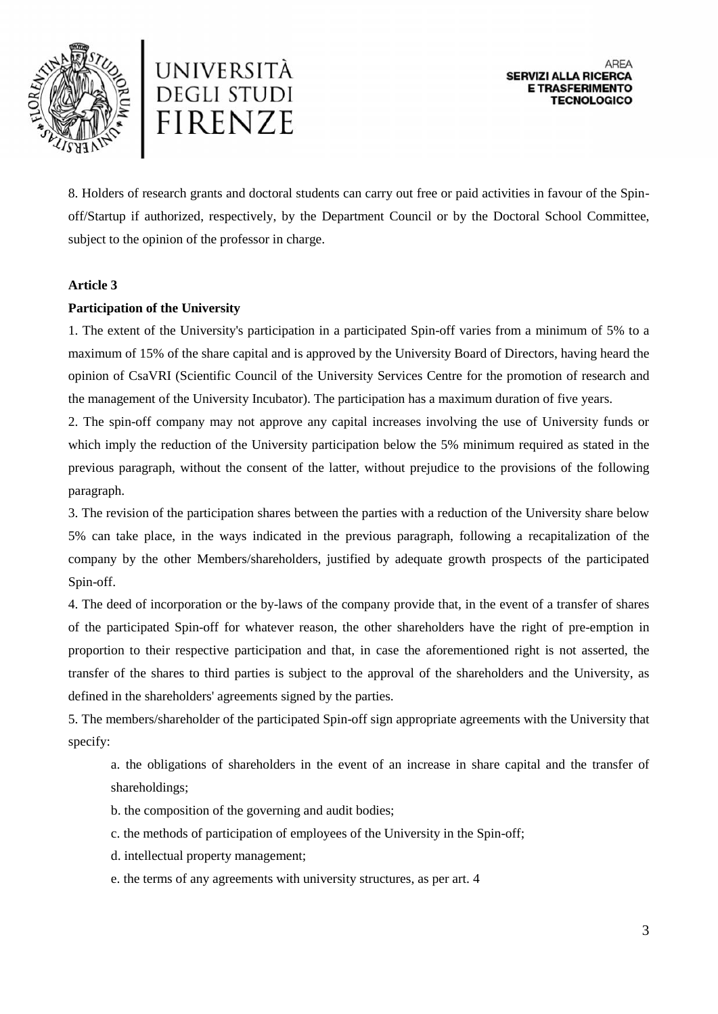



8. Holders of research grants and doctoral students can carry out free or paid activities in favour of the Spin off/Startup if authorized, respectively, by the Department Council or by the Doctoral School Committee, subject to the opinion of the professor in charge.

#### **Article 3**

## **Participation of the University**

1. The extent of the University's participation in a participated Spin-off varies from a minimum of 5% to a maximum of 15% of the share capital and is approved by the University Board of Directors, having heard the opinion of CsaVRI (Scientific Council of the University Services Centre for the promotion of research and the management of the University Incubator). The participation has a maximum duration of five years.

2. The spin-off company may not approve any capital increases involving the use of University funds or which imply the reduction of the University participation below the 5% minimum required as stated in the previous paragraph, without the consent of the latter, without prejudice to the provisions of the following paragraph.

3. The revision of the participation shares between the parties with a reduction of the University share below 5% can take place, in the ways indicated in the previous paragraph, following a recapitalization of the company by the other Members/shareholders, justified by adequate growth prospects of the participated Spin-off.

4. The deed of incorporation or the by-laws of the company provide that, in the event of a transfer of shares of the participated Spin-off for whatever reason, the other shareholders have the right of pre-emption in proportion to their respective participation and that, in case the aforementioned right is not asserted, the transfer of the shares to third parties is subject to the approval of the shareholders and the University, as defined in the shareholders' agreements signed by the parties.

5. The members/shareholder of the participated Spin-off sign appropriate agreements with the University that specify:

a. the obligations of shareholders in the event of an increase in share capital and the transfer of shareholdings;

- b. the composition of the governing and audit bodies;
- c. the methods of participation of employees of the University in the Spin-off;
- d. intellectual property management;
- e. the terms of any agreements with university structures, as per art. 4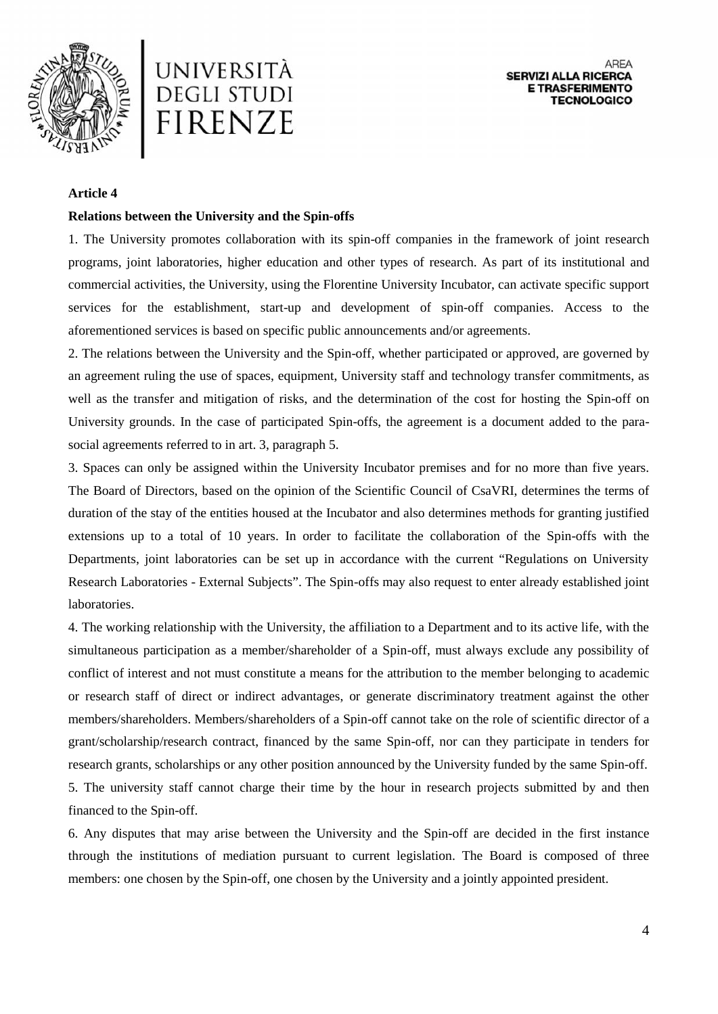



#### **Article 4**

#### **Relations between the University and the Spin-offs**

1. The University promotes collaboration with its spin-off companies in the framework of joint research programs, joint laboratories, higher education and other types of research. As part of its institutional and commercial activities, the University, using the Florentine University Incubator, can activate specific support services for the establishment, start-up and development of spin-off companies. Access to the aforementioned services is based on specific public announcements and/or agreements.

2. The relations between the University and the Spin-off, whether participated or approved, are governed by an agreement ruling the use of spaces, equipment, University staff and technology transfer commitments, as well as the transfer and mitigation of risks, and the determination of the cost for hosting the Spin-off on University grounds. In the case of participated Spin-offs, the agreement is a document added to the para social agreements referred to in art. 3, paragraph 5.

3. Spaces can only be assigned within the University Incubator premises and for no more than five years. The Board of Directors, based on the opinion of the Scientific Council of CsaVRI, determines the terms of duration of the stay of the entities housed at the Incubator and also determines methods for granting justified extensions up to a total of 10 years. In order to facilitate the collaboration of the Spin-offs with the Departments, joint laboratories can be set up in accordance with the current "Regulations on University Research Laboratories - External Subjects". The Spin-offs may also request to enter already established joint laboratories.

4. The working relationship with the University, the affiliation to a Department and to its active life, with the simultaneous participation as a member/shareholder of a Spin-off, must always exclude any possibility of conflict of interest and not must constitute a means for the attribution to the member belonging to academic or research staff of direct or indirect advantages, or generate discriminatory treatment against the other members/shareholders. Members/shareholders of a Spin-off cannot take on the role of scientific director of a grant/scholarship/research contract, financed by the same Spin-off, nor can they participate in tenders for research grants, scholarships or any other position announced by the University funded by the same Spin-off. 5. The university staff cannot charge their time by the hour in research projects submitted by and then financed to the Spin-off.

6. Any disputes that may arise between the University and the Spin-off are decided in the first instance through the institutions of mediation pursuant to current legislation. The Board is composed of three members: one chosen by the Spin-off, one chosen by the University and a jointly appointed president.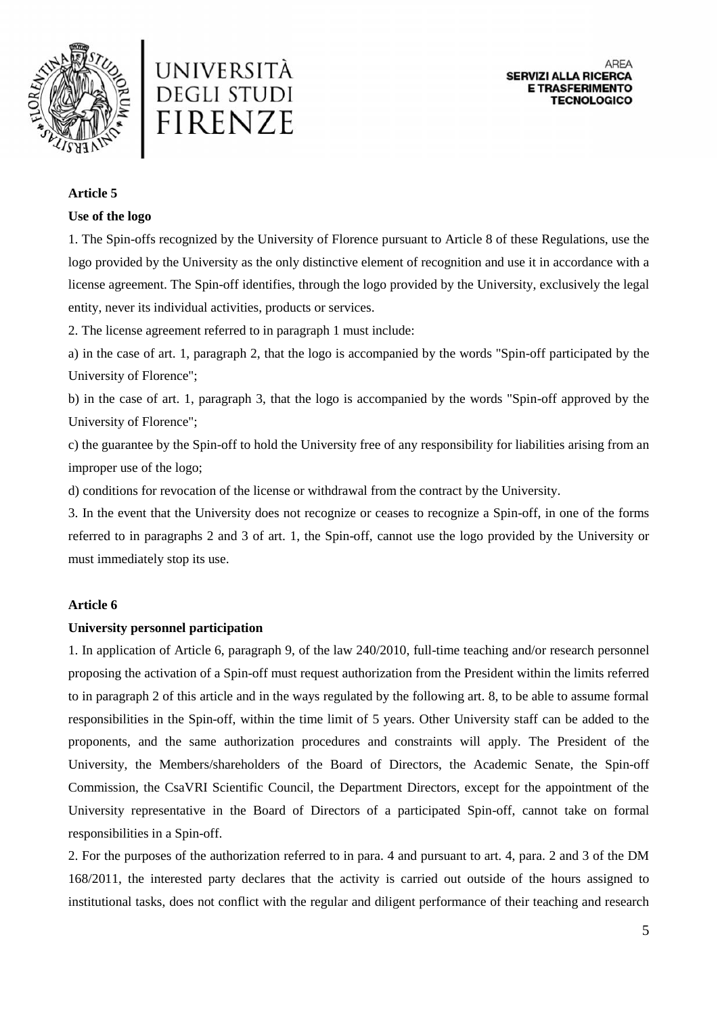



## **Article 5**

## **Use of the logo**

1. The Spin-offs recognized by the University of Florence pursuant to Article 8 of these Regulations, use the logo provided by the University as the only distinctive element of recognition and use it in accordance with a license agreement. The Spin-off identifies, through the logo provided by the University, exclusively the legal entity, never its individual activities, products or services.

2. The license agreement referred to in paragraph 1 must include:

a) in the case of art. 1, paragraph 2, that the logo is accompanied by the words "Spin-off participated by the University of Florence";

b) in the case of art. 1, paragraph 3, that the logo is accompanied by the words "Spin-off approved by the University of Florence";

c) the guarantee by the Spin-off to hold the University free of any responsibility for liabilities arising from an improper use of the logo;

d) conditions for revocation of the license or withdrawal from the contract by the University.

3. In the event that the University does not recognize or ceases to recognize a Spin-off, in one of the forms referred to in paragraphs 2 and 3 of art. 1, the Spin-off, cannot use the logo provided by the University or must immediately stop its use.

# **Article 6**

#### **University personnel participation**

1. In application of Article 6, paragraph 9, of the law 240/2010, full-time teaching and/or research personnel proposing the activation of a Spin-off must request authorization from the President within the limits referred to in paragraph 2 of this article and in the ways regulated by the following art. 8, to be able to assume formal responsibilities in the Spin-off, within the time limit of 5 years. Other University staff can be added to the proponents, and the same authorization procedures and constraints will apply. The President of the University, the Members/shareholders of the Board of Directors, the Academic Senate, the Spin-off Commission, the CsaVRI Scientific Council, the Department Directors, except for the appointment of the University representative in the Board of Directors of a participated Spin-off, cannot take on formal responsibilities in a Spin-off.

2. For the purposes of the authorization referred to in para. 4 and pursuant to art. 4, para. 2 and 3 of the DM 168/2011, the interested party declares that the activity is carried out outside of the hours assigned to institutional tasks, does not conflict with the regular and diligent performance of their teaching and research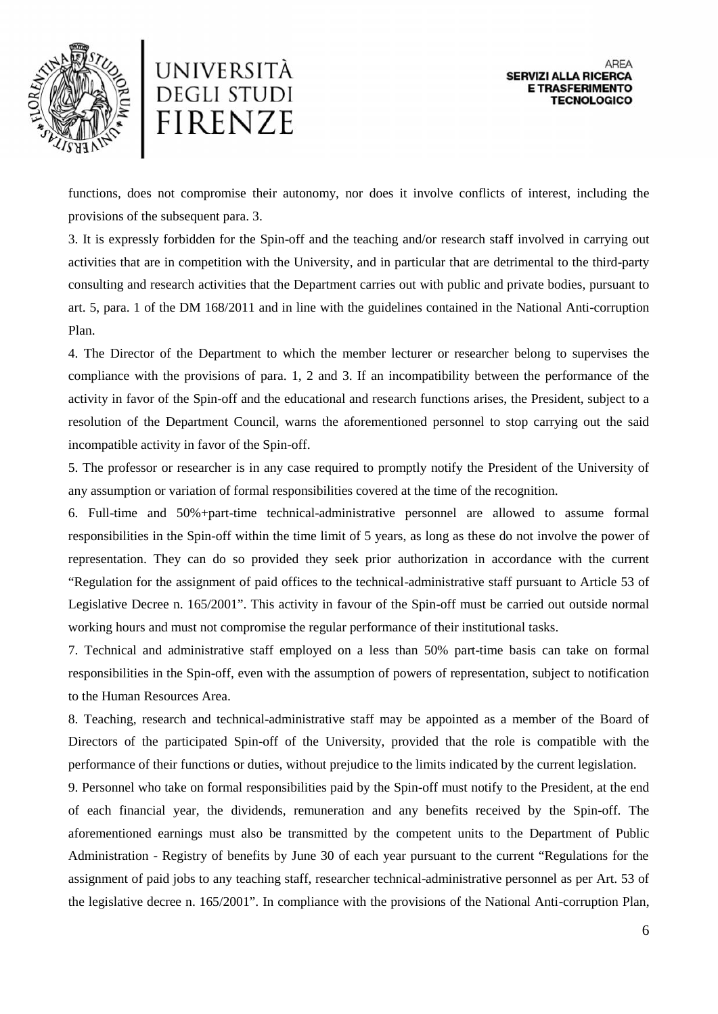



functions, does not compromise their autonomy, nor does it involve conflicts of interest, including the provisions of the subsequent para. 3.

3. It is expressly forbidden for the Spin-off and the teaching and/or research staff involved in carrying out activities that are in competition with the University, and in particular that are detrimental to the third-party consulting and research activities that the Department carries out with public and private bodies, pursuant to art. 5, para. 1 of the DM 168/2011 and in line with the guidelines contained in the National Anti-corruption Plan.

4. The Director of the Department to which the member lecturer or researcher belong to supervises the compliance with the provisions of para. 1, 2 and 3. If an incompatibility between the performance of the activity in favor of the Spin-off and the educational and research functions arises, the President, subject to a resolution of the Department Council, warns the aforementioned personnel to stop carrying out the said incompatible activity in favor of the Spin-off.

5. The professor or researcher is in any case required to promptly notify the President of the University of any assumption or variation of formal responsibilities covered at the time of the recognition.

6. Full-time and 50%+part-time technical-administrative personnel are allowed to assume formal responsibilities in the Spin-off within the time limit of 5 years, as long as these do not involve the power of representation. They can do so provided they seek prior authorization in accordance with the current "Regulation for the assignment of paid offices to the technical-administrative staff pursuant to Article 53 of Legislative Decree n. 165/2001". This activity in favour of the Spin-off must be carried out outside normal working hours and must not compromise the regular performance of their institutional tasks.

7. Technical and administrative staff employed on a less than 50% part-time basis can take on formal responsibilities in the Spin-off, even with the assumption of powers of representation, subject to notification to the Human Resources Area.

8. Teaching, research and technical-administrative staff may be appointed as a member of the Board of Directors of the participated Spin-off of the University, provided that the role is compatible with the performance of their functions or duties, without prejudice to the limits indicated by the current legislation.

9. Personnel who take on formal responsibilities paid by the Spin-off must notify to the President, at the end of each financial year, the dividends, remuneration and any benefits received by the Spin-off. The aforementioned earnings must also be transmitted by the competent units to the Department of Public Administration - Registry of benefits by June 30 of each year pursuant to the current "Regulations for the assignment of paid jobs to any teaching staff, researcher technical-administrative personnel as per Art. 53 of the legislative decree n. 165/2001". In compliance with the provisions of the National Anti-corruption Plan,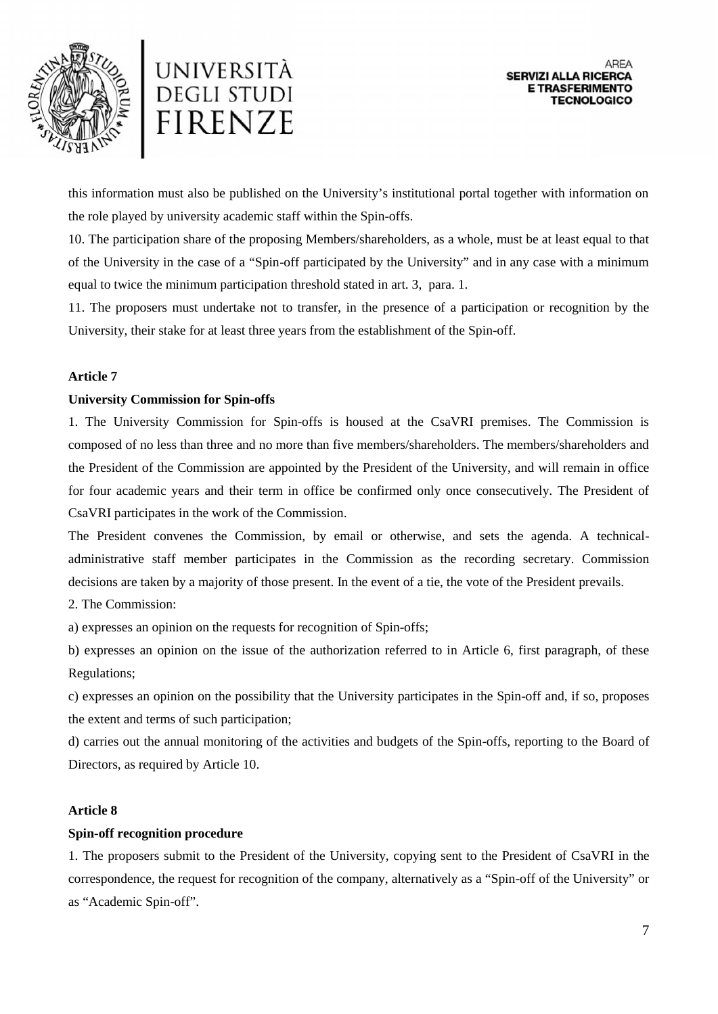



this information must also be published on the University's institutional portal together with information on the role played by university academic staff within the Spin-offs.

10. The participation share of the proposing Members/shareholders, as a whole, must be at least equal to that of the University in the case of a "Spin-off participated by the University" and in any case with a minimum equal to twice the minimum participation threshold stated in art. 3, para. 1.

11. The proposers must undertake not to transfer, in the presence of a participation or recognition by the University, their stake for at least three years from the establishment of the Spin-off.

## **Article 7**

## **University Commission for Spin-offs**

1. The University Commission for Spin-offs is housed at the CsaVRI premises. The Commission is composed of no less than three and no more than five members/shareholders. The members/shareholders and the President of the Commission are appointed by the President of the University, and will remain in office for four academic years and their term in office be confirmed only once consecutively. The President of CsaVRI participates in the work of the Commission.

The President convenes the Commission, by email or otherwise, and sets the agenda. A technical administrative staff member participates in the Commission as the recording secretary. Commission decisions are taken by a majority of those present. In the event of a tie, the vote of the President prevails.

2. The Commission:

a) expresses an opinion on the requests for recognition of Spin-offs;

b) expresses an opinion on the issue of the authorization referred to in Article 6, first paragraph, of these Regulations;

c) expresses an opinion on the possibility that the University participates in the Spin-off and, if so, proposes the extent and terms of such participation;

d) carries out the annual monitoring of the activities and budgets of the Spin-offs, reporting to the Board of Directors, as required by Article 10.

#### **Article 8**

#### **Spin-off recognition procedure**

1. The proposers submit to the President of the University, copying sent to the President of CsaVRI in the correspondence, the request for recognition of the company, alternatively as a "Spin-off of the University" or as "Academic Spin-off".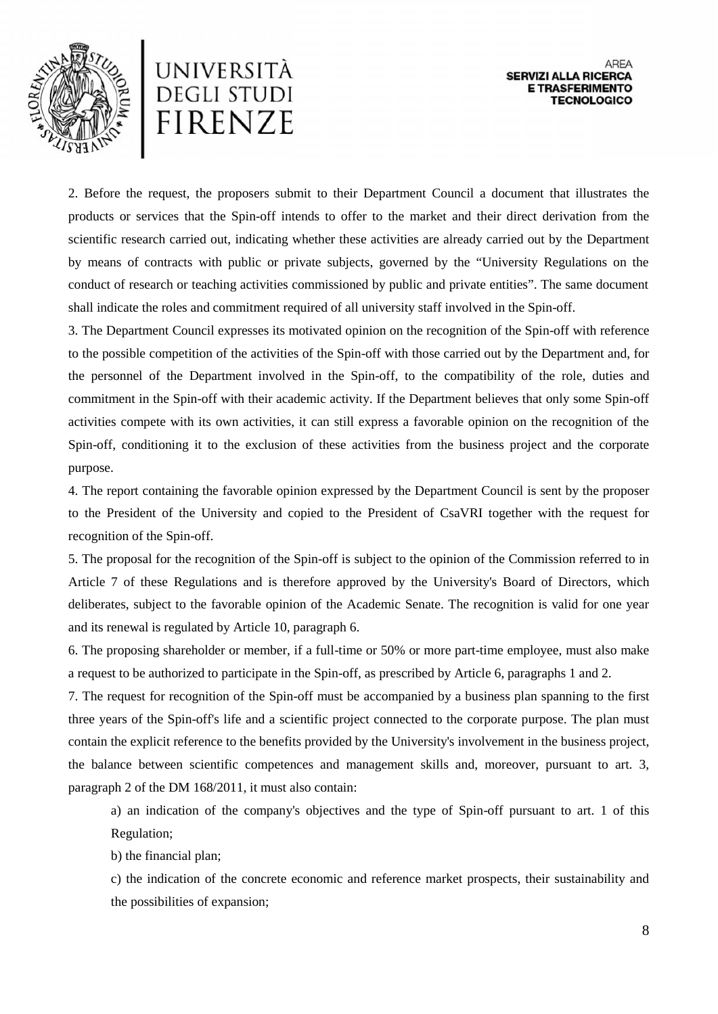



2. Before the request, the proposers submit to their Department Council a document that illustrates the products or services that the Spin-off intends to offer to the market and their direct derivation from the scientific research carried out, indicating whether these activities are already carried out by the Department by means of contracts with public or private subjects, governed by the "University Regulations on the conduct of research or teaching activities commissioned by public and private entities". The same document shall indicate the roles and commitment required of all university staff involved in the Spin-off.

3. The Department Council expresses its motivated opinion on the recognition of the Spin-off with reference to the possible competition of the activities of the Spin-off with those carried out by the Department and, for the personnel of the Department involved in the Spin-off, to the compatibility of the role, duties and commitment in the Spin-off with their academic activity. If the Department believes that only some Spin-off activities compete with its own activities, it can still express a favorable opinion on the recognition of the Spin-off, conditioning it to the exclusion of these activities from the business project and the corporate purpose.

4. The report containing the favorable opinion expressed by the Department Council is sent by the proposer to the President of the University and copied to the President of CsaVRI together with the request for recognition of the Spin-off.

5. The proposal for the recognition of the Spin-off is subject to the opinion of the Commission referred to in Article 7 of these Regulations and is therefore approved by the University's Board of Directors, which deliberates, subject to the favorable opinion of the Academic Senate. The recognition is valid for one year and its renewal is regulated by Article 10, paragraph 6.

6. The proposing shareholder or member, if a full-time or 50% or more part-time employee, must also make a request to be authorized to participate in the Spin-off, as prescribed by Article 6, paragraphs 1 and 2.

7. The request for recognition of the Spin-off must be accompanied by a business plan spanning to the first three years of the Spin-off's life and a scientific project connected to the corporate purpose. The plan must contain the explicit reference to the benefits provided by the University's involvement in the business project, the balance between scientific competences and management skills and, moreover, pursuant to art. 3, paragraph 2 of the DM 168/2011, it must also contain:

a) an indication of the company's objectives and the type of Spin-off pursuant to art. 1 of this Regulation;

b) the financial plan;

c) the indication of the concrete economic and reference market prospects, their sustainability and the possibilities of expansion;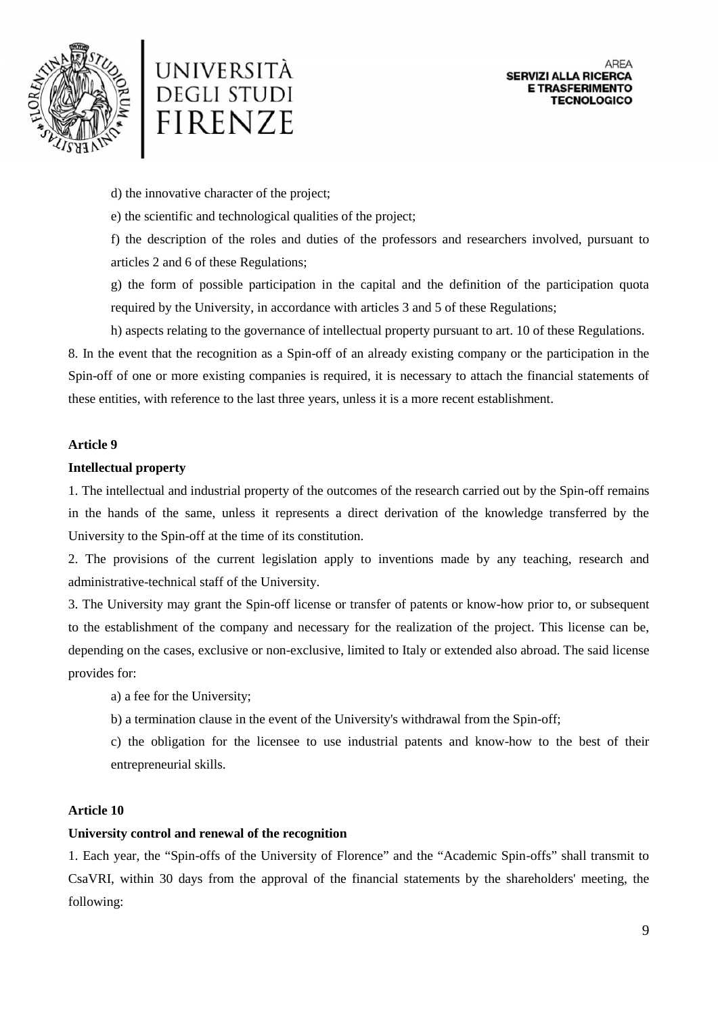



d) the innovative character of the project;

e) the scientific and technological qualities of the project;

f) the description of the roles and duties of the professors and researchers involved, pursuant to articles 2 and 6 of these Regulations;

g) the form of possible participation in the capital and the definition of the participation quota required by the University, in accordance with articles 3 and 5 of these Regulations;

h) aspects relating to the governance of intellectual property pursuant to art. 10 of these Regulations.

8. In the event that the recognition as a Spin-off of an already existing company or the participation in the Spin-off of one or more existing companies is required, it is necessary to attach the financial statements of these entities, with reference to the last three years, unless it is a more recent establishment.

## **Article 9**

## **Intellectual property**

1. The intellectual and industrial property of the outcomes of the research carried out by the Spin-off remains in the hands of the same, unless it represents a direct derivation of the knowledge transferred by the University to the Spin-off at the time of its constitution.

2. The provisions of the current legislation apply to inventions made by any teaching, research and administrative-technical staff of the University.

3. The University may grant the Spin-off license or transfer of patents or know-how prior to, or subsequent to the establishment of the company and necessary for the realization of the project. This license can be, depending on the cases, exclusive or non-exclusive, limited to Italy or extended also abroad. The said license provides for:

a) a fee for the University;

b) a termination clause in the event of the University's withdrawal from the Spin-off;

c) the obligation for the licensee to use industrial patents and know-how to the best of their entrepreneurial skills.

# **Article 10**

#### **University control and renewal of the recognition**

1. Each year, the "Spin-offs of the University of Florence" and the "Academic Spin-offs" shall transmit to CsaVRI, within 30 days from the approval of the financial statements by the shareholders' meeting, the following: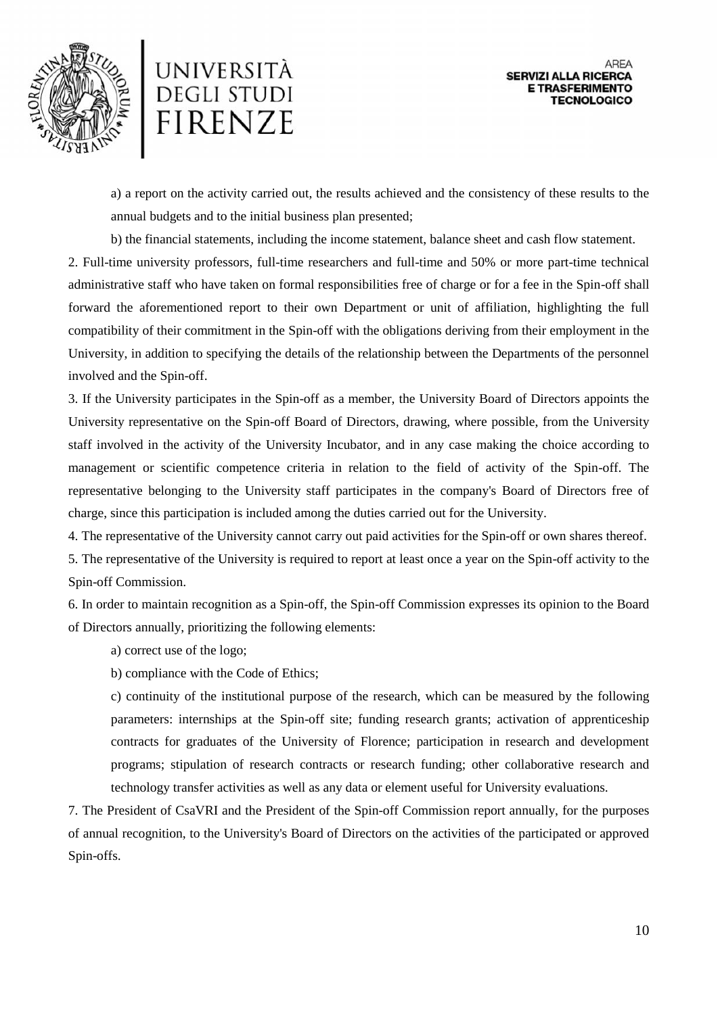



a) a report on the activity carried out, the results achieved and the consistency of these results to the annual budgets and to the initial business plan presented;

b) the financial statements, including the income statement, balance sheet and cash flow statement.

2. Full-time university professors, full-time researchers and full-time and 50% or more part-time technical administrative staff who have taken on formal responsibilities free of charge or for a fee in the Spin-off shall forward the aforementioned report to their own Department or unit of affiliation, highlighting the full compatibility of their commitment in the Spin-off with the obligations deriving from their employment in the University, in addition to specifying the details of the relationship between the Departments of the personnel involved and the Spin-off.

3. If the University participates in the Spin-off as a member, the University Board of Directors appoints the University representative on the Spin-off Board of Directors, drawing, where possible, from the University staff involved in the activity of the University Incubator, and in any case making the choice according to management or scientific competence criteria in relation to the field of activity of the Spin-off. The representative belonging to the University staff participates in the company's Board of Directors free of charge, since this participation is included among the duties carried out for the University.

4. The representative of the University cannot carry out paid activities for the Spin-off or own shares thereof.

5. The representative of the University is required to report at least once a year on the Spin-off activity to the Spin-off Commission.

6. In order to maintain recognition as a Spin-off, the Spin-off Commission expresses its opinion to the Board of Directors annually, prioritizing the following elements:

a) correct use of the logo;

b) compliance with the Code of Ethics;

c) continuity of the institutional purpose of the research, which can be measured by the following parameters: internships at the Spin-off site; funding research grants; activation of apprenticeship contracts for graduates of the University of Florence; participation in research and development programs; stipulation of research contracts or research funding; other collaborative research and technology transfer activities as well as any data or element useful for University evaluations.

7. The President of CsaVRI and the President of the Spin-off Commission report annually, for the purposes of annual recognition, to the University's Board of Directors on the activities of the participated or approved Spin-offs.